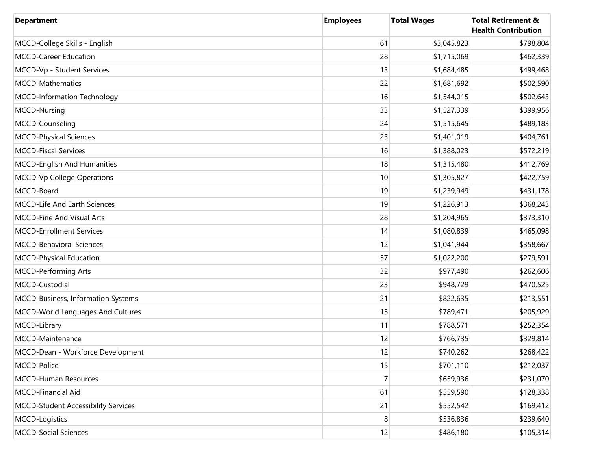| <b>Department</b>                          | <b>Employees</b> | <b>Total Wages</b> | <b>Total Retirement &amp;</b><br><b>Health Contribution</b> |
|--------------------------------------------|------------------|--------------------|-------------------------------------------------------------|
| MCCD-College Skills - English              | 61               | \$3,045,823        | \$798,804                                                   |
| MCCD-Career Education                      | 28               | \$1,715,069        | \$462,339                                                   |
| MCCD-Vp - Student Services                 | 13               | \$1,684,485        | \$499,468                                                   |
| MCCD-Mathematics                           | 22               | \$1,681,692        | \$502,590                                                   |
| MCCD-Information Technology                | 16               | \$1,544,015        | \$502,643                                                   |
| MCCD-Nursing                               | 33               | \$1,527,339        | \$399,956                                                   |
| MCCD-Counseling                            | 24               | \$1,515,645        | \$489,183                                                   |
| <b>MCCD-Physical Sciences</b>              | 23               | \$1,401,019        | \$404,761                                                   |
| <b>MCCD-Fiscal Services</b>                | 16               | \$1,388,023        | \$572,219                                                   |
| MCCD-English And Humanities                | 18               | \$1,315,480        | \$412,769                                                   |
| <b>MCCD-Vp College Operations</b>          | 10               | \$1,305,827        | \$422,759                                                   |
| MCCD-Board                                 | 19               | \$1,239,949        | \$431,178                                                   |
| MCCD-Life And Earth Sciences               | 19               | \$1,226,913        | \$368,243                                                   |
| <b>MCCD-Fine And Visual Arts</b>           | 28               | \$1,204,965        | \$373,310                                                   |
| <b>MCCD-Enrollment Services</b>            | 14               | \$1,080,839        | \$465,098                                                   |
| MCCD-Behavioral Sciences                   | 12               | \$1,041,944        | \$358,667                                                   |
| MCCD-Physical Education                    | 57               | \$1,022,200        | \$279,591                                                   |
| <b>MCCD-Performing Arts</b>                | 32               | \$977,490          | \$262,606                                                   |
| MCCD-Custodial                             | 23               | \$948,729          | \$470,525                                                   |
| MCCD-Business, Information Systems         | 21               | \$822,635          | \$213,551                                                   |
| MCCD-World Languages And Cultures          | 15               | \$789,471          | \$205,929                                                   |
| MCCD-Library                               | 11               | \$788,571          | \$252,354                                                   |
| MCCD-Maintenance                           | 12               | \$766,735          | \$329,814                                                   |
| MCCD-Dean - Workforce Development          | 12               | \$740,262          | \$268,422                                                   |
| MCCD-Police                                | 15               | \$701,110          | \$212,037                                                   |
| <b>MCCD-Human Resources</b>                | $\overline{7}$   | \$659,936          | \$231,070                                                   |
| MCCD-Financial Aid                         | 61               | \$559,590          | \$128,338                                                   |
| <b>MCCD-Student Accessibility Services</b> | 21               | \$552,542          | \$169,412                                                   |
| MCCD-Logistics                             | 8                | \$536,836          | \$239,640                                                   |
| <b>MCCD-Social Sciences</b>                | 12               | \$486,180          | \$105,314                                                   |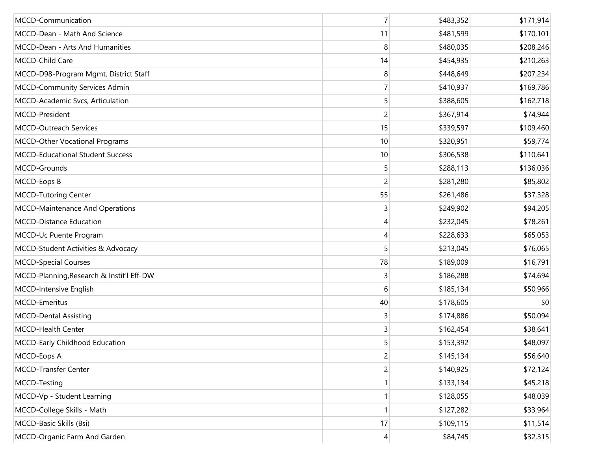| MCCD-Communication                        | $\overline{7}$ | \$483,352 | \$171,914 |
|-------------------------------------------|----------------|-----------|-----------|
| MCCD-Dean - Math And Science              | 11             | \$481,599 | \$170,101 |
| MCCD-Dean - Arts And Humanities           | 8              | \$480,035 | \$208,246 |
| MCCD-Child Care                           | 14             | \$454,935 | \$210,263 |
| MCCD-D98-Program Mgmt, District Staff     | 8              | \$448,649 | \$207,234 |
| MCCD-Community Services Admin             | 7              | \$410,937 | \$169,786 |
| MCCD-Academic Svcs, Articulation          | 5              | \$388,605 | \$162,718 |
| MCCD-President                            | 2              | \$367,914 | \$74,944  |
| <b>MCCD-Outreach Services</b>             | 15             | \$339,597 | \$109,460 |
| MCCD-Other Vocational Programs            | 10             | \$320,951 | \$59,774  |
| <b>MCCD-Educational Student Success</b>   | 10             | \$306,538 | \$110,641 |
| MCCD-Grounds                              | 5              | \$288,113 | \$136,036 |
| MCCD-Eops B                               | $\overline{2}$ | \$281,280 | \$85,802  |
| <b>MCCD-Tutoring Center</b>               | 55             | \$261,486 | \$37,328  |
| MCCD-Maintenance And Operations           | 3              | \$249,902 | \$94,205  |
| <b>MCCD-Distance Education</b>            | 4              | \$232,045 | \$78,261  |
| MCCD-Uc Puente Program                    | 4              | \$228,633 | \$65,053  |
| MCCD-Student Activities & Advocacy        | 5              | \$213,045 | \$76,065  |
| <b>MCCD-Special Courses</b>               | 78             | \$189,009 | \$16,791  |
| MCCD-Planning, Research & Instit'l Eff-DW | 3              | \$186,288 | \$74,694  |
| MCCD-Intensive English                    | 6              | \$185,134 | \$50,966  |
| MCCD-Emeritus                             | 40             | \$178,605 | \$0       |
| <b>MCCD-Dental Assisting</b>              | 3              | \$174,886 | \$50,094  |
| MCCD-Health Center                        | 3              | \$162,454 | \$38,641  |
| MCCD-Early Childhood Education            | 5              | \$153,392 | \$48,097  |
| MCCD-Eops A                               | $\overline{c}$ | \$145,134 | \$56,640  |
| MCCD-Transfer Center                      | 2              | \$140,925 | \$72,124  |
| MCCD-Testing                              |                | \$133,134 | \$45,218  |
| MCCD-Vp - Student Learning                | 1              | \$128,055 | \$48,039  |
| MCCD-College Skills - Math                |                | \$127,282 | \$33,964  |
| MCCD-Basic Skills (Bsi)                   | 17             | \$109,115 | \$11,514  |
| MCCD-Organic Farm And Garden              | 4              | \$84,745  | \$32,315  |